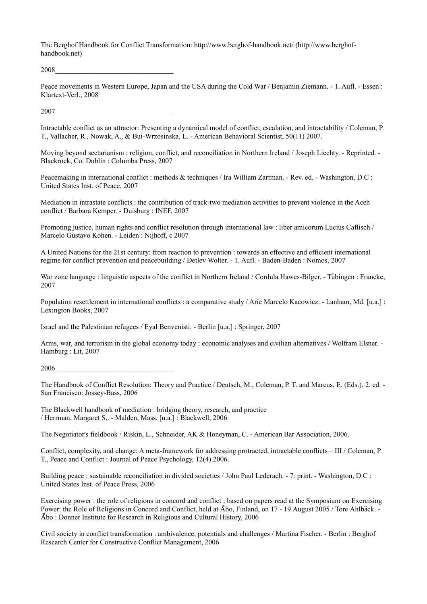The Berghof Handbook for Conflict Transformation: http://www.berghof-handbook.net/ (http://www.berghofhandbook.net)

2008\_\_\_\_\_\_\_\_\_\_\_\_\_\_\_\_\_\_\_\_\_\_\_\_\_\_\_\_\_\_\_\_\_

Peace movements in Western Europe, Japan and the USA during the Cold War / Benjamin Ziemann. - 1. Aufl. - Essen : Klartext-Verl., 2008

2007\_\_\_\_\_\_\_\_\_\_\_\_\_\_\_\_\_\_\_\_\_\_\_\_\_\_\_\_\_\_\_\_\_

Intractable conflict as an attractor: Presenting a dynamical model of conflict, escalation, and intractability / Coleman, P. T., Vallacher, R., Nowak, A., & Bui-Wrzosinska, L. - American Behavioral Scientist, 50(11) 2007.

Moving beyond sectarianism : religion, conflict, and reconciliation in Northern Ireland / Joseph Liechty. - Reprinted. - Blackrock, Co. Dublin : Columba Press, 2007

Peacemaking in international conflict : methods & techniques / Ira William Zartman. - Rev. ed. - Washington, D.C : United States Inst. of Peace, 2007

Mediation in intrastate conflicts : the contribution of track-two mediation activities to prevent violence in the Aceh conflict / Barbara Kemper. - Duisburg : INEF, 2007

Promoting justice, human rights and conflict resolution through international law : liber amicorum Lucius Caflisch / Marcelo Gustavo Kohen. - Leiden : Nijhoff, c 2007

A United Nations for the 21st century: from reaction to prevention : towards an effective and efficient international regime for conflict prevention and peacebuilding / Detlev Wolter. - 1. Aufl. - Baden-Baden : Nomos, 2007

War zone language : linguistic aspects of the conflict in Northern Ireland / Cordula Hawes-Bilger. - Tübingen : Francke, 2007

Population resettlement in international conflicts : a comparative study / Arie Marcelo Kacowicz. - Lanham, Md. [u.a.] : Lexington Books, 2007

Israel and the Palestinian refugees / Eyal Benvenisti. - Berlin [u.a.] : Springer, 2007

Arms, war, and terrorism in the global economy today : economic analyses and civilian alternatives / Wolfram Elsner. - Hamburg : Lit, 2007

2006\_\_\_\_\_\_\_\_\_\_\_\_\_\_\_\_\_\_\_\_\_\_\_\_\_\_\_\_\_\_\_\_\_

The Handbook of Conflict Resolution: Theory and Practice / Deutsch, M., Coleman, P. T. and Marcus, E. (Eds.). 2. ed. - San Francisco: Jossey-Bass, 2006

The Blackwell handbook of mediation : bridging theory, research, and practice / Herrman, Margaret S,. - Malden, Mass. [u.a.] : Blackwell, 2006

The Negotiator's fieldbook / Riskin, L., Schneider, AK & Honeyman, C. - American Bar Association, 2006.

Conflict, complexity, and change: A meta-framework for addressing protracted, intractable conflicts – III / Coleman, P. T., Peace and Conflict : Journal of Peace Psychology, 12(4) 2006.

Building peace : sustainable reconciliation in divided societies / John Paul Lederach. - 7. print. - Washington, D.C : United States Inst. of Peace Press, 2006

Exercising power : the role of religions in concord and conflict ; based on papers read at the Symposium on Exercising Power: the Role of Religions in Concord and Conflict, held at Åbo, Finland, on 17 - 19 August 2005 / Tore Ahlback. -Abo : Donner Institute for Research in Religious and Cultural History, 2006 ̊

Civil society in conflict transformation : ambivalence, potentials and challenges / Martina Fischer. - Berlin : Berghof Research Center for Constructive Conflict Management, 2006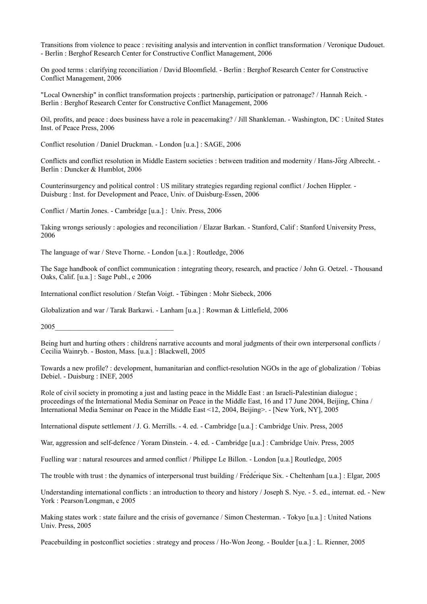Transitions from violence to peace : revisiting analysis and intervention in conflict transformation / Veronique Dudouet. - Berlin : Berghof Research Center for Constructive Conflict Management, 2006

On good terms : clarifying reconciliation / David Bloomfield. - Berlin : Berghof Research Center for Constructive Conflict Management, 2006

"Local Ownership" in conflict transformation projects : partnership, participation or patronage? / Hannah Reich. - Berlin : Berghof Research Center for Constructive Conflict Management, 2006

Oil, profits, and peace : does business have a role in peacemaking? / Jill Shankleman. - Washington, DC : United States Inst. of Peace Press, 2006

Conflict resolution / Daniel Druckman. - London [u.a.] : SAGE, 2006

Conflicts and conflict resolution in Middle Eastern societies : between tradition and modernity / Hans-Jörg Albrecht. -Berlin : Duncker & Humblot, 2006

Counterinsurgency and political control : US military strategies regarding regional conflict / Jochen Hippler. - Duisburg : Inst. for Development and Peace, Univ. of Duisburg-Essen, 2006

Conflict / Martin Jones. - Cambridge [u.a.] : Univ. Press, 2006

Taking wrongs seriously : apologies and reconciliation / Elazar Barkan. - Stanford, Calif : Stanford University Press, 2006

The language of war / Steve Thorne. - London [u.a.] : Routledge, 2006

The Sage handbook of conflict communication : integrating theory, research, and practice / John G. Oetzel. - Thousand Oaks, Calif. [u.a.] : Sage Publ., c 2006

International conflict resolution / Stefan Voigt. - Tubingen : Mohr Siebeck, 2006 ̈

Globalization and war / Tarak Barkawi. - Lanham [u.a.] : Rowman & Littlefield, 2006

2005\_\_\_\_\_\_\_\_\_\_\_\_\_\_\_\_\_\_\_\_\_\_\_\_\_\_\_\_\_\_\_\_\_

Being hurt and hurting others : childrenś narrative accounts and moral judgments of their own interpersonal conflicts / Cecilia Wainryb. - Boston, Mass. [u.a.] : Blackwell, 2005

Towards a new profile? : development, humanitarian and conflict-resolution NGOs in the age of globalization / Tobias Debiel. - Duisburg : INEF, 2005

Role of civil society in promoting a just and lasting peace in the Middle East : an Israeli-Palestinian dialogue ; proceedings of the International Media Seminar on Peace in the Middle East, 16 and 17 June 2004, Beijing, China / International Media Seminar on Peace in the Middle East <12, 2004, Beijing>. - [New York, NY], 2005

International dispute settlement / J. G. Merrills. - 4. ed. - Cambridge [u.a.] : Cambridge Univ. Press, 2005

War, aggression and self-defence / Yoram Dinstein. - 4. ed. - Cambridge [u.a.] : Cambridge Univ. Press, 2005

Fuelling war : natural resources and armed conflict / Philippe Le Billon. - London [u.a.] Routledge, 2005

The trouble with trust : the dynamics of interpersonal trust building / Frédérique Six. - Cheltenham [u.a.] : Elgar, 2005

Understanding international conflicts : an introduction to theory and history / Joseph S. Nye. - 5. ed., internat. ed. - New York : Pearson/Longman, c 2005

Making states work : state failure and the crisis of governance / Simon Chesterman. - Tokyo [u.a.] : United Nations Univ. Press, 2005

Peacebuilding in postconflict societies : strategy and process / Ho-Won Jeong. - Boulder [u.a.] : L. Rienner, 2005